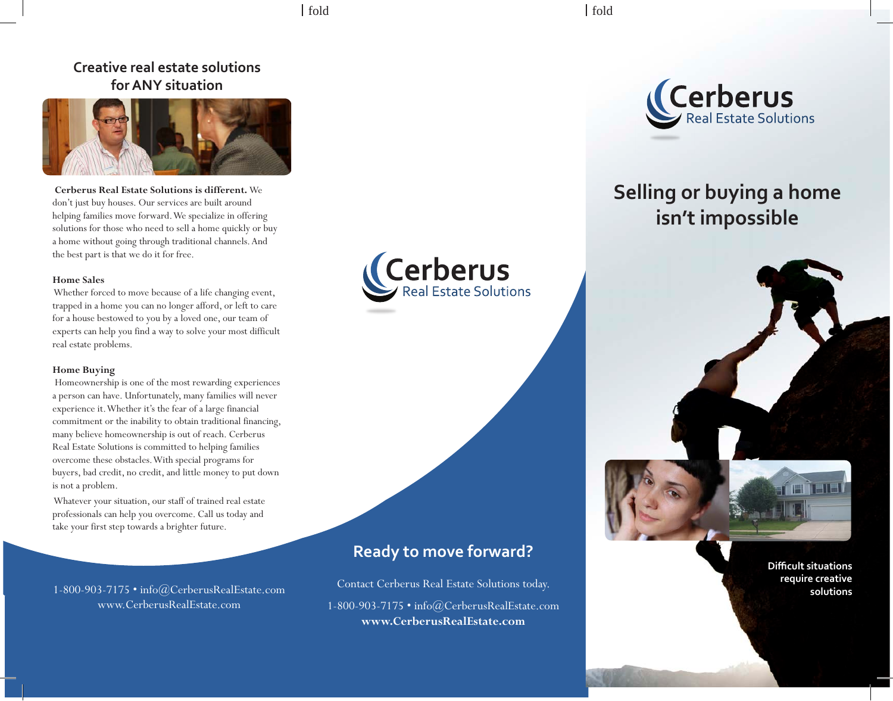# **Creative real estate solutions for ANY situation**



 **Cerberus Real Estate Solutions is different.** We don't just buy houses. Our services are built around helping families move forward. We specialize in offering solutions for those who need to sell a home quickly or buy a home without going through traditional channels. And the best part is that we do it for free.

#### **Home Sales**

 Whether forced to move because of a life changing event, trapped in a home you can no longer afford, or left to care for a house bestowed to you by a loved one, our team of experts can help you find a way to solve your most difficult real estate problems.

#### **Home Buying**

 Homeownership is one of the most rewarding experiences a person can have. Unfortunately, many families will never experience it. Whether it's the fear of a large financial commitment or the inability to obtain traditional financing, many believe homeownership is out of reach. Cerberus Real Estate Solutions is committed to helping families overcome these obstacles. With special programs for buyers, bad credit, no credit, and little money to put down is not a problem.

 Whatever your situation, our staff of trained real estate professionals can help you overcome. Call us today and take your first step towards a brighter future.

www.CerberusRealEstate.com





# **Selling or buying a home isn't impossible**



**Difficult situations require creative** 

# **Ready to move forward?**

Contact Cerberus Real Estate Solutions today. 1-800-903-7175 • info@CerberusRealEstate.com **www.CerberusRealEstate.com** 1-800-903-7175 • info@CerberusRealEstate.com **Solutions Contact Cerberus Real Estate Solutions today.** Solutions by the solutions of the solutions of the solutions of the solutions of the solutions of the solutions of the